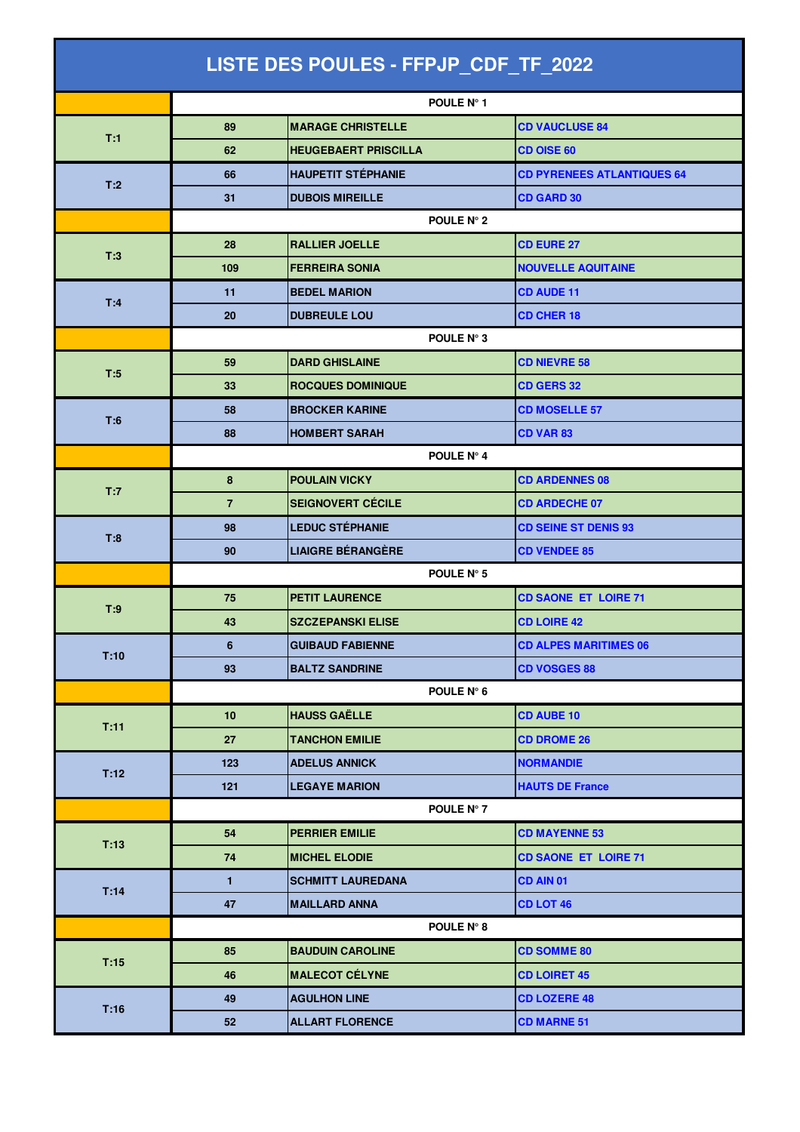| LISTE DES POULES - FFPJP_CDF_TF_2022 |                |                             |                                   |  |  |
|--------------------------------------|----------------|-----------------------------|-----------------------------------|--|--|
|                                      |                | POULE N° 1                  |                                   |  |  |
|                                      | 89             | <b>MARAGE CHRISTELLE</b>    | <b>CD VAUCLUSE 84</b>             |  |  |
| T:1                                  | 62             | <b>HEUGEBAERT PRISCILLA</b> | <b>CD OISE 60</b>                 |  |  |
|                                      | 66             | <b>HAUPETIT STÉPHANIE</b>   | <b>CD PYRENEES ATLANTIQUES 64</b> |  |  |
| T:2                                  | 31             | <b>DUBOIS MIREILLE</b>      | <b>CD GARD 30</b>                 |  |  |
|                                      | POULE N° 2     |                             |                                   |  |  |
|                                      | 28             | <b>RALLIER JOELLE</b>       | <b>CD EURE 27</b>                 |  |  |
| T:3                                  | 109            | <b>FERREIRA SONIA</b>       | <b>NOUVELLE AQUITAINE</b>         |  |  |
|                                      | 11             | <b>BEDEL MARION</b>         | <b>CD AUDE 11</b>                 |  |  |
| T:4                                  | 20             | <b>DUBREULE LOU</b>         | <b>CD CHER 18</b>                 |  |  |
|                                      |                | POULE N° 3                  |                                   |  |  |
|                                      | 59             | <b>DARD GHISLAINE</b>       | <b>CD NIEVRE 58</b>               |  |  |
| T:5                                  | 33             | <b>ROCQUES DOMINIQUE</b>    | <b>CD GERS 32</b>                 |  |  |
| T:6                                  | 58             | <b>BROCKER KARINE</b>       | <b>CD MOSELLE 57</b>              |  |  |
|                                      | 88             | <b>HOMBERT SARAH</b>        | <b>CD VAR 83</b>                  |  |  |
|                                      |                | POULE Nº 4                  |                                   |  |  |
|                                      | 8              | <b>POULAIN VICKY</b>        | <b>CD ARDENNES 08</b>             |  |  |
| T:7                                  | $\overline{7}$ | <b>SEIGNOVERT CÉCILE</b>    | <b>CD ARDECHE 07</b>              |  |  |
| T:8                                  | 98             | <b>LEDUC STÉPHANIE</b>      | <b>CD SEINE ST DENIS 93</b>       |  |  |
|                                      | 90             | <b>LIAIGRE BÉRANGÈRE</b>    | <b>CD VENDEE 85</b>               |  |  |
|                                      | POULE N° 5     |                             |                                   |  |  |
| T:9                                  | 75             | <b>PETIT LAURENCE</b>       | <b>CD SAONE ET LOIRE 71</b>       |  |  |
|                                      | 43             | <b>SZCZEPANSKI ELISE</b>    | <b>CD LOIRE 42</b>                |  |  |
| T:10                                 | 6              | <b>GUIBAUD FABIENNE</b>     | <b>CD ALPES MARITIMES 06</b>      |  |  |
|                                      | 93             | <b>BALTZ SANDRINE</b>       | <b>CD VOSGES 88</b>               |  |  |
|                                      |                | POULE N° 6                  |                                   |  |  |
| T:11                                 | 10             | <b>HAUSS GAËLLE</b>         | <b>CD AUBE 10</b>                 |  |  |
|                                      | 27             | <b>TANCHON EMILIE</b>       | <b>CD DROME 26</b>                |  |  |
| T:12                                 | 123            | <b>ADELUS ANNICK</b>        | <b>NORMANDIE</b>                  |  |  |
|                                      | 121            | <b>LEGAYE MARION</b>        | <b>HAUTS DE France</b>            |  |  |
|                                      |                | POULE N° 7                  |                                   |  |  |
|                                      | 54             | <b>PERRIER EMILIE</b>       | <b>CD MAYENNE 53</b>              |  |  |
| T:13                                 | 74             | <b>MICHEL ELODIE</b>        | <b>CD SAONE ET LOIRE 71</b>       |  |  |
| T:14                                 | $\mathbf{1}$   | <b>SCHMITT LAUREDANA</b>    | CD AIN 01                         |  |  |
|                                      | 47             | <b>MAILLARD ANNA</b>        | CD LOT 46                         |  |  |
|                                      |                | POULE N° 8                  |                                   |  |  |
| T:15                                 | 85             | <b>BAUDUIN CAROLINE</b>     | <b>CD SOMME 80</b>                |  |  |
|                                      | 46             | <b>MALECOT CÉLYNE</b>       | <b>CD LOIRET 45</b>               |  |  |
| T:16                                 | 49             | <b>AGULHON LINE</b>         | <b>CD LOZERE 48</b>               |  |  |
|                                      | 52             | <b>ALLART FLORENCE</b>      | <b>CD MARNE 51</b>                |  |  |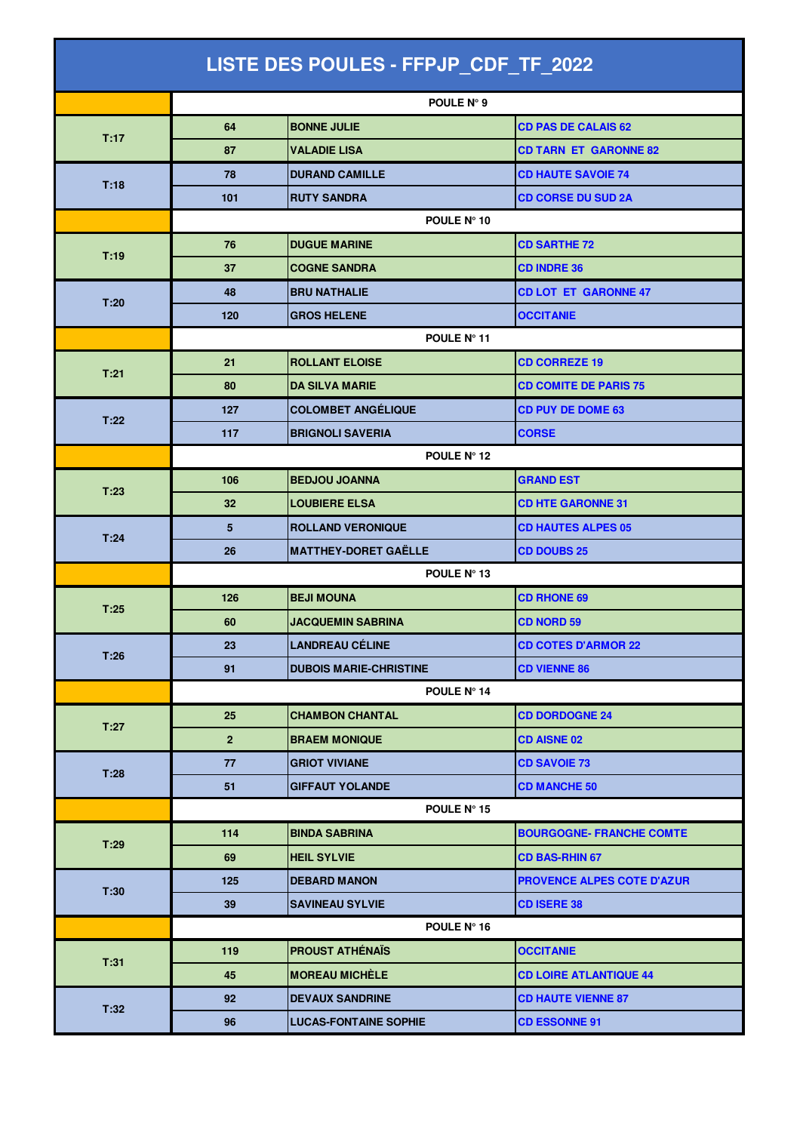| LISTE DES POULES - FFPJP_CDF_TF_2022 |                |                               |                                   |  |  |
|--------------------------------------|----------------|-------------------------------|-----------------------------------|--|--|
|                                      |                | POULE N° 9                    |                                   |  |  |
|                                      | 64             | <b>BONNE JULIE</b>            | <b>CD PAS DE CALAIS 62</b>        |  |  |
| T:17                                 | 87             | <b>VALADIE LISA</b>           | <b>CD TARN ET GARONNE 82</b>      |  |  |
|                                      | 78             | <b>DURAND CAMILLE</b>         | <b>CD HAUTE SAVOIE 74</b>         |  |  |
| T:18                                 | 101            | <b>RUTY SANDRA</b>            | <b>CD CORSE DU SUD 2A</b>         |  |  |
|                                      | POULE N° 10    |                               |                                   |  |  |
|                                      | 76             | <b>DUGUE MARINE</b>           | <b>CD SARTHE 72</b>               |  |  |
| T:19                                 | 37             | <b>COGNE SANDRA</b>           | <b>CD INDRE 36</b>                |  |  |
|                                      | 48             | <b>BRU NATHALIE</b>           | <b>CD LOT ET GARONNE 47</b>       |  |  |
| T:20                                 | 120            | <b>GROS HELENE</b>            | <b>OCCITANIE</b>                  |  |  |
|                                      | POULE Nº 11    |                               |                                   |  |  |
| T:21                                 | 21             | <b>ROLLANT ELOISE</b>         | <b>CD CORREZE 19</b>              |  |  |
|                                      | 80             | <b>DA SILVA MARIE</b>         | <b>CD COMITE DE PARIS 75</b>      |  |  |
| T:22                                 | 127            | <b>COLOMBET ANGÉLIQUE</b>     | <b>CD PUY DE DOME 63</b>          |  |  |
|                                      | 117            | <b>BRIGNOLI SAVERIA</b>       | <b>CORSE</b>                      |  |  |
|                                      |                | POULE N° 12                   |                                   |  |  |
| T:23                                 | 106            | <b>BEDJOU JOANNA</b>          | <b>GRAND EST</b>                  |  |  |
|                                      | 32             | <b>LOUBIERE ELSA</b>          | <b>CD HTE GARONNE 31</b>          |  |  |
| T:24                                 | 5              | <b>ROLLAND VERONIQUE</b>      | <b>CD HAUTES ALPES 05</b>         |  |  |
|                                      | 26             | <b>MATTHEY-DORET GAËLLE</b>   | <b>CD DOUBS 25</b>                |  |  |
|                                      | POULE N° 13    |                               |                                   |  |  |
| T:25                                 | 126            | <b>BEJI MOUNA</b>             | <b>CD RHONE 69</b>                |  |  |
|                                      | 60             | <b>JACQUEMIN SABRINA</b>      | <b>CD NORD 59</b>                 |  |  |
| T:26                                 | 23             | LANDREAU CÉLINE               | <b>CD COTES D'ARMOR 22</b>        |  |  |
|                                      | 91             | <b>DUBOIS MARIE-CHRISTINE</b> | <b>CD VIENNE 86</b>               |  |  |
|                                      | POULE N° 14    |                               |                                   |  |  |
| T:27                                 | 25             | <b>CHAMBON CHANTAL</b>        | <b>CD DORDOGNE 24</b>             |  |  |
|                                      | 2 <sup>1</sup> | <b>BRAEM MONIQUE</b>          | <b>CD AISNE 02</b>                |  |  |
| T:28                                 | 77             | <b>GRIOT VIVIANE</b>          | <b>CD SAVOIE 73</b>               |  |  |
|                                      | 51             | <b>GIFFAUT YOLANDE</b>        | <b>CD MANCHE 50</b>               |  |  |
|                                      |                | POULE N° 15                   |                                   |  |  |
| T:29                                 | 114            | <b>BINDA SABRINA</b>          | <b>BOURGOGNE- FRANCHE COMTE</b>   |  |  |
|                                      | 69             | <b>HEIL SYLVIE</b>            | <b>CD BAS-RHIN 67</b>             |  |  |
| T:30                                 | 125            | <b>DEBARD MANON</b>           | <b>PROVENCE ALPES COTE D'AZUR</b> |  |  |
|                                      | 39             | <b>SAVINEAU SYLVIE</b>        | <b>CD ISERE 38</b>                |  |  |
|                                      |                | POULE N° 16                   |                                   |  |  |
| T:31                                 | 119            | <b>PROUST ATHÉNAÏS</b>        | <b>OCCITANIE</b>                  |  |  |
|                                      | 45             | <b>MOREAU MICHÈLE</b>         | <b>CD LOIRE ATLANTIQUE 44</b>     |  |  |
| T:32                                 | 92             | <b>DEVAUX SANDRINE</b>        | <b>CD HAUTE VIENNE 87</b>         |  |  |
|                                      | 96             | <b>LUCAS-FONTAINE SOPHIE</b>  | <b>CD ESSONNE 91</b>              |  |  |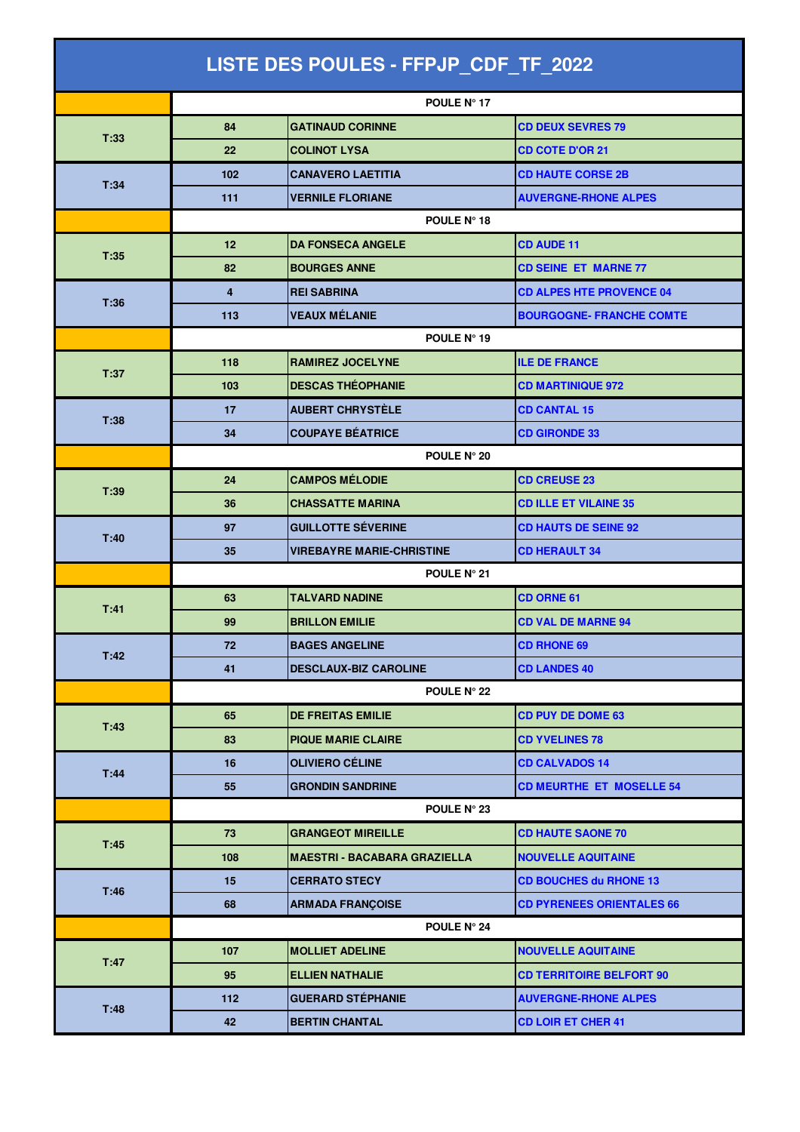| LISTE DES POULES - FFPJP_CDF_TF_2022 |                    |                                     |                                  |  |  |
|--------------------------------------|--------------------|-------------------------------------|----------------------------------|--|--|
|                                      |                    | POULE Nº 17                         |                                  |  |  |
|                                      | 84                 | <b>GATINAUD CORINNE</b>             | <b>CD DEUX SEVRES 79</b>         |  |  |
| T:33                                 | 22                 | <b>COLINOT LYSA</b>                 | <b>CD COTE D'OR 21</b>           |  |  |
|                                      | 102                | <b>CANAVERO LAETITIA</b>            | <b>CD HAUTE CORSE 2B</b>         |  |  |
| T:34                                 | 111                | <b>VERNILE FLORIANE</b>             | <b>AUVERGNE-RHONE ALPES</b>      |  |  |
|                                      | POULE N° 18        |                                     |                                  |  |  |
|                                      | 12                 | <b>DA FONSECA ANGELE</b>            | <b>CD AUDE 11</b>                |  |  |
| T:35                                 | 82                 | <b>BOURGES ANNE</b>                 | <b>CD SEINE ET MARNE 77</b>      |  |  |
|                                      | 4                  | <b>REI SABRINA</b>                  | <b>CD ALPES HTE PROVENCE 04</b>  |  |  |
| T:36                                 | 113                | <b>VEAUX MÉLANIE</b>                | <b>BOURGOGNE- FRANCHE COMTE</b>  |  |  |
|                                      | POULE N° 19        |                                     |                                  |  |  |
| T:37                                 | 118                | <b>RAMIREZ JOCELYNE</b>             | <b>ILE DE FRANCE</b>             |  |  |
|                                      | 103                | <b>DESCAS THÉOPHANIE</b>            | <b>CD MARTINIQUE 972</b>         |  |  |
| T:38                                 | 17                 | <b>AUBERT CHRYSTÈLE</b>             | <b>CD CANTAL 15</b>              |  |  |
|                                      | 34                 | <b>COUPAYE BÉATRICE</b>             | <b>CD GIRONDE 33</b>             |  |  |
|                                      | POULE N° 20        |                                     |                                  |  |  |
| T:39                                 | 24                 | <b>CAMPOS MÉLODIE</b>               | <b>CD CREUSE 23</b>              |  |  |
|                                      | 36                 | <b>CHASSATTE MARINA</b>             | <b>CD ILLE ET VILAINE 35</b>     |  |  |
| T:40                                 | 97                 | <b>GUILLOTTE SÉVERINE</b>           | <b>CD HAUTS DE SEINE 92</b>      |  |  |
|                                      | 35                 | <b>VIREBAYRE MARIE-CHRISTINE</b>    | <b>CD HERAULT 34</b>             |  |  |
|                                      | POULE N° 21        |                                     |                                  |  |  |
| T:41                                 | 63                 | <b>TALVARD NADINE</b>               | <b>CD ORNE 61</b>                |  |  |
|                                      | 99                 | <b>BRILLON EMILIE</b>               | <b>CD VAL DE MARNE 94</b>        |  |  |
| T:42                                 | 72                 | <b>BAGES ANGELINE</b>               | <b>CD RHONE 69</b>               |  |  |
|                                      | 41                 | <b>DESCLAUX-BIZ CAROLINE</b>        | <b>CD LANDES 40</b>              |  |  |
|                                      |                    | POULE N° 22                         |                                  |  |  |
| T:43                                 | 65                 | <b>DE FREITAS EMILIE</b>            | <b>CD PUY DE DOME 63</b>         |  |  |
|                                      | 83                 | <b>PIQUE MARIE CLAIRE</b>           | <b>CD YVELINES 78</b>            |  |  |
| T:44                                 | 16                 | <b>OLIVIERO CÉLINE</b>              | <b>CD CALVADOS 14</b>            |  |  |
|                                      | 55                 | <b>GRONDIN SANDRINE</b>             | <b>CD MEURTHE ET MOSELLE 54</b>  |  |  |
|                                      |                    | POULE N° 23                         |                                  |  |  |
| T:45                                 | 73                 | <b>GRANGEOT MIREILLE</b>            | <b>CD HAUTE SAONE 70</b>         |  |  |
|                                      | 108                | <b>MAESTRI - BACABARA GRAZIELLA</b> | <b>NOUVELLE AQUITAINE</b>        |  |  |
| T:46                                 | 15                 | <b>CERRATO STECY</b>                | <b>CD BOUCHES du RHONE 13</b>    |  |  |
|                                      | 68                 | <b>ARMADA FRANÇOISE</b>             | <b>CD PYRENEES ORIENTALES 66</b> |  |  |
|                                      | <b>POULE N° 24</b> |                                     |                                  |  |  |
| T:47                                 | 107                | <b>MOLLIET ADELINE</b>              | <b>NOUVELLE AQUITAINE</b>        |  |  |
|                                      | 95                 | <b>ELLIEN NATHALIE</b>              | <b>CD TERRITOIRE BELFORT 90</b>  |  |  |
| T:48                                 | 112                | <b>GUERARD STÉPHANIE</b>            | <b>AUVERGNE-RHONE ALPES</b>      |  |  |
|                                      | 42                 | <b>BERTIN CHANTAL</b>               | <b>CD LOIR ET CHER 41</b>        |  |  |